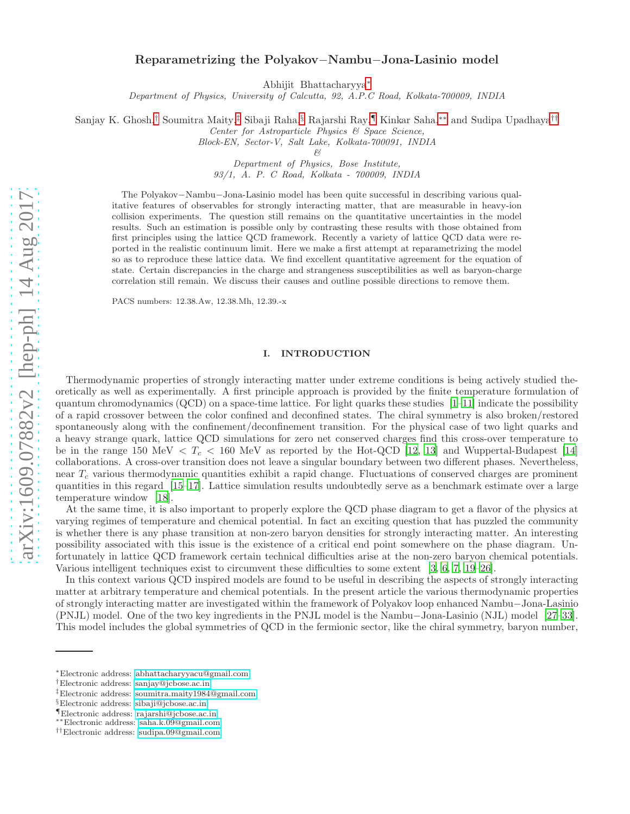# arXiv:1609.07882v2 [hep-ph] 14 Aug 2017 [arXiv:1609.07882v2 \[hep-ph\] 14 Aug 2017](http://arxiv.org/abs/1609.07882v2)

# Reparametrizing the Polyakov−Nambu−Jona-Lasinio model

Abhijit Bhattacharyya[∗](#page-0-0)

Department of Physics, University of Calcutta, 92, A.P.C Road, Kolkata-700009, INDIA

Sanjay K. Ghosh,[†](#page-0-1) Soumitra Maity,[‡](#page-0-2) Sibaji Raha,[§](#page-0-3) Rajarshi Ray,[¶](#page-0-4) Kinkar Saha,[∗∗](#page-0-5) and Sudipa Upadhaya[††](#page-0-6)

Center for Astroparticle Physics & Space Science,

Block-EN, Sector-V, Salt Lake, Kolkata-700091, INDIA

 $6<$ 

Department of Physics, Bose Institute, 93/1, A. P. C Road, Kolkata - 700009, INDIA

The Polyakov−Nambu−Jona-Lasinio model has been quite successful in describing various qualitative features of observables for strongly interacting matter, that are measurable in heavy-ion collision experiments. The question still remains on the quantitative uncertainties in the model results. Such an estimation is possible only by contrasting these results with those obtained from first principles using the lattice QCD framework. Recently a variety of lattice QCD data were reported in the realistic continuum limit. Here we make a first attempt at reparametrizing the model so as to reproduce these lattice data. We find excellent quantitative agreement for the equation of state. Certain discrepancies in the charge and strangeness susceptibilities as well as baryon-charge correlation still remain. We discuss their causes and outline possible directions to remove them.

PACS numbers: 12.38.Aw, 12.38.Mh, 12.39.-x

# I. INTRODUCTION

Thermodynamic properties of strongly interacting matter under extreme conditions is being actively studied theoretically as well as experimentally. A first principle approach is provided by the finite temperature formulation of quantum chromodynamics (QCD) on a space-time lattice. For light quarks these studies [\[1](#page-11-0)[–11\]](#page-12-0) indicate the possibility of a rapid crossover between the color confined and deconfined states. The chiral symmetry is also broken/restored spontaneously along with the confinement/deconfinement transition. For the physical case of two light quarks and a heavy strange quark, lattice QCD simulations for zero net conserved charges find this cross-over temperature to be in the range 150 MeV  $\langle T_c \rangle$  160 MeV as reported by the Hot-QCD [\[12](#page-12-1), [13\]](#page-12-2) and Wuppertal-Budapest [\[14](#page-12-3)] collaborations. A cross-over transition does not leave a singular boundary between two different phases. Nevertheless, near  $T_c$  various thermodynamic quantities exhibit a rapid change. Fluctuations of conserved charges are prominent quantities in this regard [\[15](#page-12-4)[–17](#page-12-5)]. Lattice simulation results undoubtedly serve as a benchmark estimate over a large temperature window [\[18](#page-12-6)].

At the same time, it is also important to properly explore the QCD phase diagram to get a flavor of the physics at varying regimes of temperature and chemical potential. In fact an exciting question that has puzzled the community is whether there is any phase transition at non-zero baryon densities for strongly interacting matter. An interesting possibility associated with this issue is the existence of a critical end point somewhere on the phase diagram. Unfortunately in lattice QCD framework certain technical difficulties arise at the non-zero baryon chemical potentials. Various intelligent techniques exist to circumvent these difficulties to some extent [\[3,](#page-11-1) [6,](#page-12-7) [7,](#page-12-8) [19](#page-12-9)[–26\]](#page-12-10).

In this context various QCD inspired models are found to be useful in describing the aspects of strongly interacting matter at arbitrary temperature and chemical potentials. In the present article the various thermodynamic properties of strongly interacting matter are investigated within the framework of Polyakov loop enhanced Nambu−Jona-Lasinio (PNJL) model. One of the two key ingredients in the PNJL model is the Nambu−Jona-Lasinio (NJL) model [\[27](#page-12-11)[–33\]](#page-12-12). This model includes the global symmetries of QCD in the fermionic sector, like the chiral symmetry, baryon number,

<span id="page-0-0"></span><sup>∗</sup>Electronic address: [abhattacharyyacu@gmail.com](mailto:abhattacharyyacu@gmail.com)

<span id="page-0-1"></span><sup>†</sup>Electronic address: [sanjay@jcbose.ac.in](mailto:sanjay@jcbose.ac.in)

<span id="page-0-2"></span><sup>‡</sup>Electronic address: [soumitra.maity1984@gmail.com](mailto:soumitra.maity1984@gmail.com)

<span id="page-0-3"></span><sup>§</sup>Electronic address: [sibaji@jcbose.ac.in](mailto:sibaji@jcbose.ac.in)

<span id="page-0-4"></span><sup>¶</sup>Electronic address: [rajarshi@jcbose.ac.in](mailto:rajarshi@jcbose.ac.in)

<span id="page-0-5"></span><sup>∗∗</sup>Electronic address: [saha.k.09@gmail.com](mailto:saha.k.09@gmail.com)

<span id="page-0-6"></span><sup>††</sup>Electronic address: [sudipa.09@gmail.com](mailto:sudipa.09@gmail.com)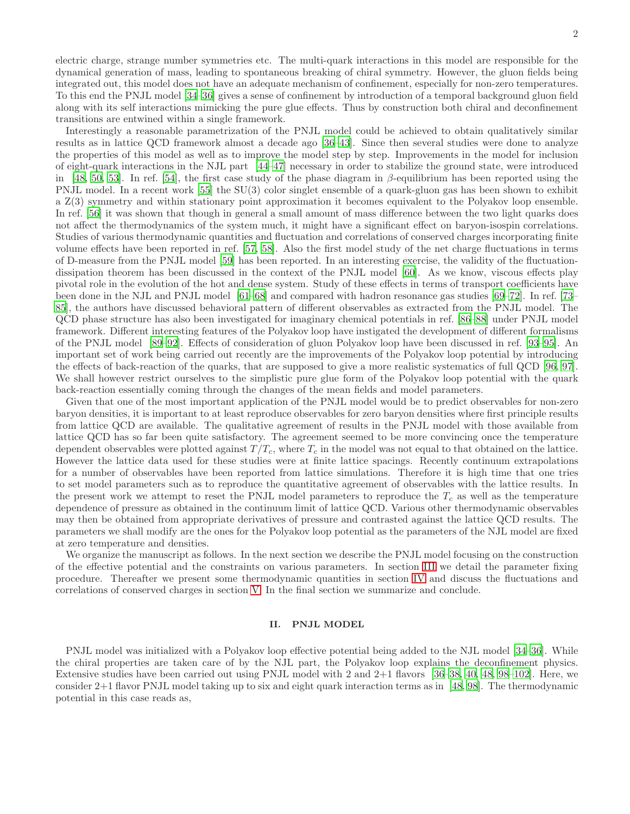electric charge, strange number symmetries etc. The multi-quark interactions in this model are responsible for the dynamical generation of mass, leading to spontaneous breaking of chiral symmetry. However, the gluon fields being integrated out, this model does not have an adequate mechanism of confinement, especially for non-zero temperatures. To this end the PNJL model [\[34](#page-12-13)[–36\]](#page-12-14) gives a sense of confinement by introduction of a temporal background gluon field along with its self interactions mimicking the pure glue effects. Thus by construction both chiral and deconfinement transitions are entwined within a single framework.

Interestingly a reasonable parametrization of the PNJL model could be achieved to obtain qualitatively similar results as in lattice QCD framework almost a decade ago [\[36](#page-12-14)[–43\]](#page-12-15). Since then several studies were done to analyze the properties of this model as well as to improve the model step by step. Improvements in the model for inclusion of eight-quark interactions in the NJL part [\[44](#page-12-16)[–47\]](#page-12-17) necessary in order to stabilize the ground state, were introduced in [\[48,](#page-12-18) [50,](#page-12-19) [53\]](#page-12-20). In ref. [\[54](#page-12-21)], the first case study of the phase diagram in β-equilibrium has been reported using the PNJL model. In a recent work [\[55](#page-12-22)] the SU(3) color singlet ensemble of a quark-gluon gas has been shown to exhibit a Z(3) symmetry and within stationary point approximation it becomes equivalent to the Polyakov loop ensemble. In ref. [\[56\]](#page-12-23) it was shown that though in general a small amount of mass difference between the two light quarks does not affect the thermodynamics of the system much, it might have a significant effect on baryon-isospin correlations. Studies of various thermodynamic quantities and fluctuation and correlations of conserved charges incorporating finite volume effects have been reported in ref. [\[57,](#page-12-24) [58\]](#page-12-25). Also the first model study of the net charge fluctuations in terms of D-measure from the PNJL model [\[59\]](#page-12-26) has been reported. In an interesting exercise, the validity of the fluctuationdissipation theorem has been discussed in the context of the PNJL model [\[60](#page-12-27)]. As we know, viscous effects play pivotal role in the evolution of the hot and dense system. Study of these effects in terms of transport coefficients have been done in the NJL and PNJL model [\[61](#page-12-28)[–68\]](#page-13-0) and compared with hadron resonance gas studies [\[69](#page-13-1)[–72\]](#page-13-2). In ref. [\[73](#page-13-3)– [85\]](#page-13-4), the authors have discussed behavioral pattern of different observables as extracted from the PNJL model. The QCD phase structure has also been investigated for imaginary chemical potentials in ref. [\[86](#page-13-5)[–88\]](#page-13-6) under PNJL model framework. Different interesting features of the Polyakov loop have instigated the development of different formalisms of the PNJL model [\[89](#page-13-7)[–92\]](#page-13-8). Effects of consideration of gluon Polyakov loop have been discussed in ref. [\[93](#page-13-9)[–95\]](#page-13-10). An important set of work being carried out recently are the improvements of the Polyakov loop potential by introducing the effects of back-reaction of the quarks, that are supposed to give a more realistic systematics of full QCD [\[96,](#page-13-11) [97\]](#page-13-12). We shall however restrict ourselves to the simplistic pure glue form of the Polyakov loop potential with the quark back-reaction essentially coming through the changes of the mean fields and model parameters.

Given that one of the most important application of the PNJL model would be to predict observables for non-zero baryon densities, it is important to at least reproduce observables for zero baryon densities where first principle results from lattice QCD are available. The qualitative agreement of results in the PNJL model with those available from lattice QCD has so far been quite satisfactory. The agreement seemed to be more convincing once the temperature dependent observables were plotted against  $T/T_c$ , where  $T_c$  in the model was not equal to that obtained on the lattice. However the lattice data used for these studies were at finite lattice spacings. Recently continuum extrapolations for a number of observables have been reported from lattice simulations. Therefore it is high time that one tries to set model parameters such as to reproduce the quantitative agreement of observables with the lattice results. In the present work we attempt to reset the PNJL model parameters to reproduce the  $T_c$  as well as the temperature dependence of pressure as obtained in the continuum limit of lattice QCD. Various other thermodynamic observables may then be obtained from appropriate derivatives of pressure and contrasted against the lattice QCD results. The parameters we shall modify are the ones for the Polyakov loop potential as the parameters of the NJL model are fixed at zero temperature and densities.

We organize the manuscript as follows. In the next section we describe the PNJL model focusing on the construction of the effective potential and the constraints on various parameters. In section [III](#page-3-0) we detail the parameter fixing procedure. Thereafter we present some thermodynamic quantities in section [IV](#page-4-0) and discuss the fluctuations and correlations of conserved charges in section [V.](#page-7-0) In the final section we summarize and conclude.

# II. PNJL MODEL

PNJL model was initialized with a Polyakov loop effective potential being added to the NJL model [\[34](#page-12-13)[–36\]](#page-12-14). While the chiral properties are taken care of by the NJL part, the Polyakov loop explains the deconfinement physics. Extensive studies have been carried out using PNJL model with 2 and 2+1 flavors [\[36](#page-12-14)[–38,](#page-12-29) [40,](#page-12-30) [48,](#page-12-18) [98](#page-13-13)[–102\]](#page-13-14). Here, we consider 2+1 flavor PNJL model taking up to six and eight quark interaction terms as in [\[48](#page-12-18), [98\]](#page-13-13). The thermodynamic potential in this case reads as,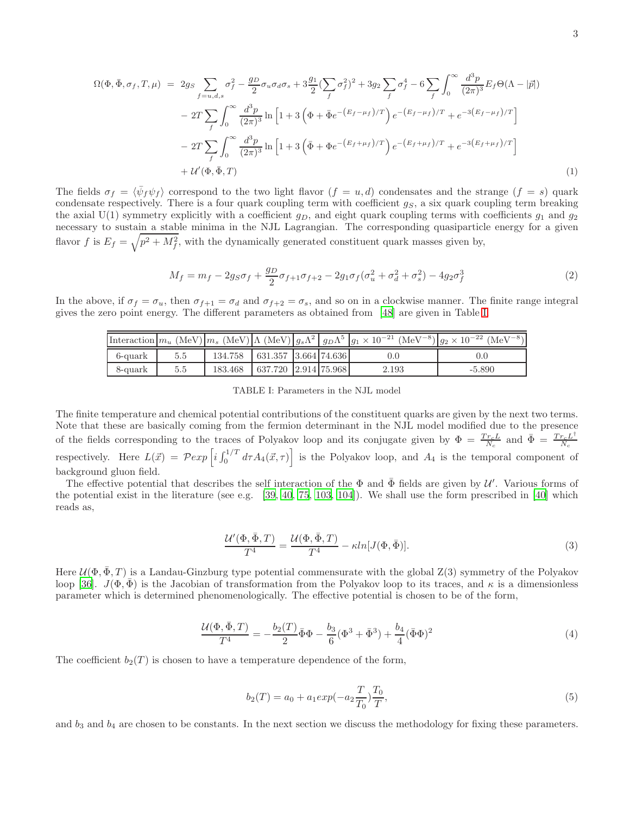$$
\Omega(\Phi, \bar{\Phi}, \sigma_f, T, \mu) = 2g_S \sum_{f=u,d,s} \sigma_f^2 - \frac{g_D}{2} \sigma_u \sigma_d \sigma_s + 3\frac{g_1}{2} (\sum_f \sigma_f^2)^2 + 3g_2 \sum_f \sigma_f^4 - 6 \sum_f \int_0^\infty \frac{d^3 p}{(2\pi)^3} E_f \Theta(\Lambda - |\vec{p}|)
$$
  

$$
- 2T \sum_f \int_0^\infty \frac{d^3 p}{(2\pi)^3} \ln \left[ 1 + 3 \left( \Phi + \bar{\Phi} e^{-(E_f - \mu_f)/T} \right) e^{-(E_f - \mu_f)/T} + e^{-3(E_f - \mu_f)/T} \right]
$$
  

$$
- 2T \sum_f \int_0^\infty \frac{d^3 p}{(2\pi)^3} \ln \left[ 1 + 3 \left( \bar{\Phi} + \Phi e^{-(E_f + \mu_f)/T} \right) e^{-(E_f + \mu_f)/T} + e^{-3(E_f + \mu_f)/T} \right]
$$
  

$$
+ \mathcal{U}'(\Phi, \bar{\Phi}, T)
$$
 (1)

The fields  $\sigma_f = \langle \bar{\psi}_f \psi_f \rangle$  correspond to the two light flavor  $(f = u, d)$  condensates and the strange  $(f = s)$  quark condensate respectively. There is a four quark coupling term with coefficient  $g_S$ , a six quark coupling term breaking the axial U(1) symmetry explicitly with a coefficient  $g_D$ , and eight quark coupling terms with coefficients  $g_1$  and  $g_2$ necessary to sustain a stable minima in the NJL Lagrangian. The corresponding quasiparticle energy for a given flavor f is  $E_f = \sqrt{p^2 + M_f^2}$ , with the dynamically generated constituent quark masses given by,

$$
M_f = m_f - 2g_S \sigma_f + \frac{g_D}{2} \sigma_{f+1} \sigma_{f+2} - 2g_1 \sigma_f (\sigma_u^2 + \sigma_d^2 + \sigma_s^2) - 4g_2 \sigma_f^3 \tag{2}
$$

In the above, if  $\sigma_f = \sigma_u$ , then  $\sigma_{f+1} = \sigma_d$  and  $\sigma_{f+2} = \sigma_s$ , and so on in a clockwise manner. The finite range integral gives the zero point energy. The different parameters as obtained from [\[48\]](#page-12-18) are given in Table [I.](#page-2-0)

|         |         |         |                             |  | Interaction $m_u$ (MeV) $m_s$ (MeV) $\Lambda$ (MeV) $g_s \Lambda^2$ $g_D \Lambda^5$ $g_1 \times 10^{-21}$ (MeV <sup>-8</sup> ) $g_2 \times 10^{-22}$ (MeV <sup>-8</sup> ) |          |
|---------|---------|---------|-----------------------------|--|---------------------------------------------------------------------------------------------------------------------------------------------------------------------------|----------|
| 6-quark | $5.5\,$ | 134.758 | $\mid$ 631.357 3.664 74.636 |  |                                                                                                                                                                           | 0.0      |
| 8-quark | $5.5\,$ | 183.468 | $\mid$ 637.720 2.914 75.968 |  | 2.193                                                                                                                                                                     | $-5.890$ |

<span id="page-2-0"></span>TABLE I: Parameters in the NJL model

The finite temperature and chemical potential contributions of the constituent quarks are given by the next two terms. Note that these are basically coming from the fermion determinant in the NJL model modified due to the presence of the fields corresponding to the traces of Polyakov loop and its conjugate given by  $\Phi = \frac{T_{r_c}L}{N_c}$  and  $\bar{\Phi} = \frac{T_{r_c}L^{\dagger}}{N_c}$ respectively. Here  $L(\vec{x}) = \mathcal{P}exp\left[i\int_0^{1/T} d\tau A_4(\vec{x}, \tau)\right]$  is the Polyakov loop, and  $A_4$  is the temporal component of background gluon field.

The effective potential that describes the self interaction of the  $\Phi$  and  $\bar{\Phi}$  fields are given by  $\mathcal{U}'$ . Various forms of the potential exist in the literature (see e.g. [\[39,](#page-12-31) [40](#page-12-30), [75,](#page-13-15) [103,](#page-13-16) [104](#page-13-17)]). We shall use the form prescribed in [\[40\]](#page-12-30) which reads as,

$$
\frac{\mathcal{U}'(\Phi,\bar{\Phi},T)}{T^4} = \frac{\mathcal{U}(\Phi,\bar{\Phi},T)}{T^4} - \kappa ln[J(\Phi,\bar{\Phi})].
$$
\n(3)

Here  $\mathcal{U}(\Phi,\bar{\Phi},T)$  is a Landau-Ginzburg type potential commensurate with the global  $Z(3)$  symmetry of the Polyakov loop [\[36](#page-12-14)].  $J(\Phi, \Phi)$  is the Jacobian of transformation from the Polyakov loop to its traces, and  $\kappa$  is a dimensionless parameter which is determined phenomenologically. The effective potential is chosen to be of the form,

$$
\frac{\mathcal{U}(\Phi, \bar{\Phi}, T)}{T^4} = -\frac{b_2(T)}{2} \bar{\Phi}\Phi - \frac{b_3}{6} (\Phi^3 + \bar{\Phi}^3) + \frac{b_4}{4} (\bar{\Phi}\Phi)^2 \tag{4}
$$

The coefficient  $b_2(T)$  is chosen to have a temperature dependence of the form,

$$
b_2(T) = a_0 + a_1 \exp(-a_2 \frac{T}{T_0}) \frac{T_0}{T},
$$
\n(5)

and  $b_3$  and  $b_4$  are chosen to be constants. In the next section we discuss the methodology for fixing these parameters.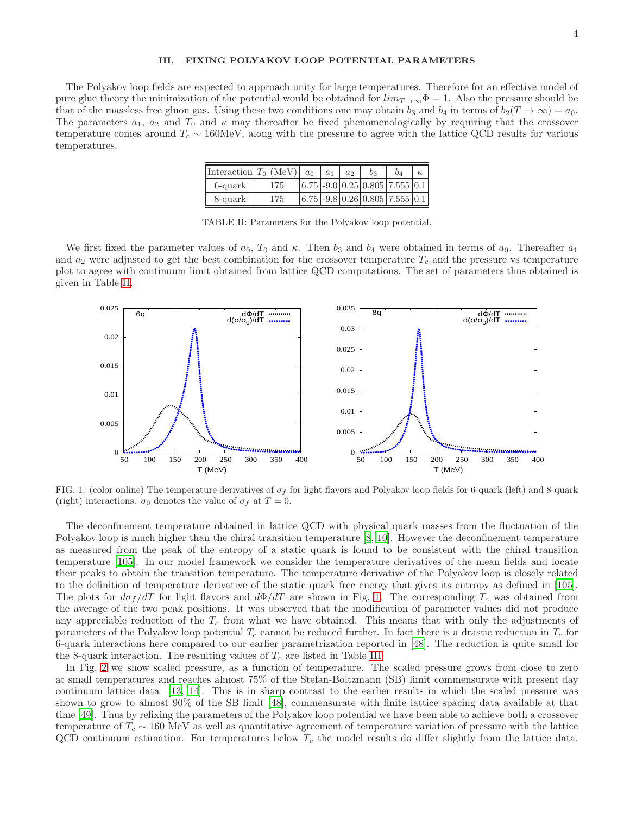# <span id="page-3-0"></span>III. FIXING POLYAKOV LOOP POTENTIAL PARAMETERS

The Polyakov loop fields are expected to approach unity for large temperatures. Therefore for an effective model of pure glue theory the minimization of the potential would be obtained for  $\lim_{T\to\infty}\Phi = 1$ . Also the pressure should be that of the massless free gluon gas. Using these two conditions one may obtain  $b_3$  and  $b_4$  in terms of  $b_2(T \to \infty) = a_0$ . The parameters  $a_1$ ,  $a_2$  and  $T_0$  and  $\kappa$  may thereafter be fixed phenomenologically by requiring that the crossover temperature comes around  $T_c \sim 160 \text{MeV}$ , along with the pressure to agree with the lattice QCD results for various temperatures.

| Interaction $T_0$ (MeV) |     | a <sub>0</sub> | a <sub>1</sub> | a <sub>2</sub> |                                                 | $\kappa$ |
|-------------------------|-----|----------------|----------------|----------------|-------------------------------------------------|----------|
| 6-quark                 | 175 |                |                |                | $(6.75 - 9.0) 0.25 0.805 7.555 0.1$             |          |
| 8-quark                 | 175 |                |                |                | $\left  6.75 \right $ -9.8 0.26 0.805 7.555 0.1 |          |

<span id="page-3-1"></span>TABLE II: Parameters for the Polyakov loop potential.

We first fixed the parameter values of  $a_0$ ,  $T_0$  and  $\kappa$ . Then  $b_3$  and  $b_4$  were obtained in terms of  $a_0$ . Thereafter  $a_1$ and  $a_2$  were adjusted to get the best combination for the crossover temperature  $T_c$  and the pressure vs temperature plot to agree with continuum limit obtained from lattice QCD computations. The set of parameters thus obtained is given in Table [II.](#page-3-1)



<span id="page-3-2"></span>FIG. 1: (color online) The temperature derivatives of  $\sigma_f$  for light flavors and Polyakov loop fields for 6-quark (left) and 8-quark (right) interactions.  $\sigma_0$  denotes the value of  $\sigma_f$  at  $T=0$ .

The deconfinement temperature obtained in lattice QCD with physical quark masses from the fluctuation of the Polyakov loop is much higher than the chiral transition temperature [\[8,](#page-12-32) [10\]](#page-12-33). However the deconfinement temperature as measured from the peak of the entropy of a static quark is found to be consistent with the chiral transition temperature [\[105](#page-13-18)]. In our model framework we consider the temperature derivatives of the mean fields and locate their peaks to obtain the transition temperature. The temperature derivative of the Polyakov loop is closely related to the definition of temperature derivative of the static quark free energy that gives its entropy as defined in [\[105\]](#page-13-18). The plots for  $d\sigma_f/dT$  for light flavors and  $d\Phi/dT$  are shown in Fig. [1.](#page-3-2) The corresponding  $T_c$  was obtained from the average of the two peak positions. It was observed that the modification of parameter values did not produce any appreciable reduction of the  $T_c$  from what we have obtained. This means that with only the adjustments of parameters of the Polyakov loop potential  $T_c$  cannot be reduced further. In fact there is a drastic reduction in  $T_c$  for 6-quark interactions here compared to our earlier parametrization reported in [\[48\]](#page-12-18). The reduction is quite small for the 8-quark interaction. The resulting values of  $T_c$  are listed in Table [III.](#page-4-1)

In Fig. [2](#page-4-2) we show scaled pressure, as a function of temperature. The scaled pressure grows from close to zero at small temperatures and reaches almost 75% of the Stefan-Boltzmann (SB) limit commensurate with present day continuum lattice data [\[13](#page-12-2), [14](#page-12-3)]. This is in sharp contrast to the earlier results in which the scaled pressure was shown to grow to almost 90% of the SB limit [\[48\]](#page-12-18), commensurate with finite lattice spacing data available at that time [\[49\]](#page-12-34). Thus by refixing the parameters of the Polyakov loop potential we have been able to achieve both a crossover temperature of  $T_c \sim 160$  MeV as well as quantitative agreement of temperature variation of pressure with the lattice QCD continuum estimation. For temperatures below  $T_c$  the model results do differ slightly from the lattice data.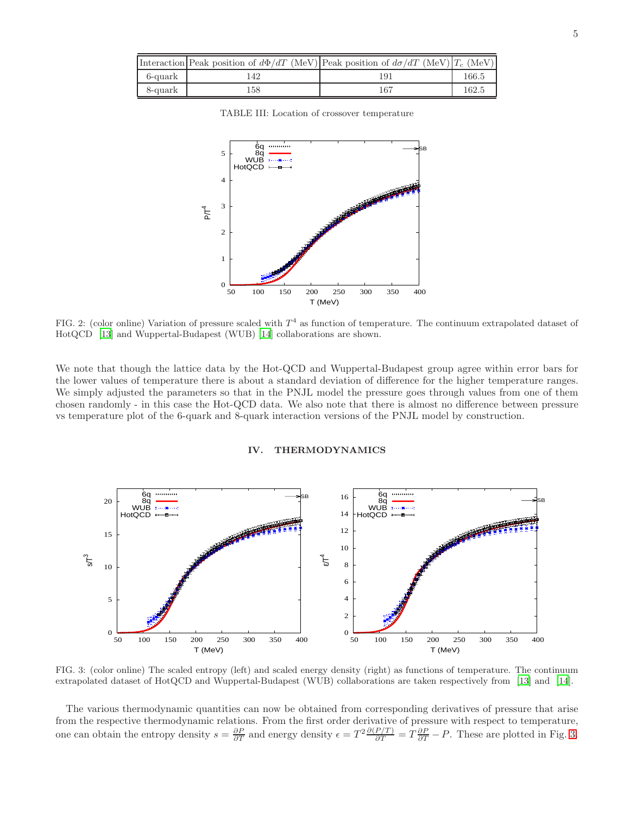|         | Interaction Peak position of $d\Phi/dT$ (MeV) Peak position of $d\sigma/dT$ (MeV) $T_c$ (MeV) |     |       |
|---------|-----------------------------------------------------------------------------------------------|-----|-------|
| 6-quark | 142                                                                                           |     | 166.5 |
| 8-quark | 158                                                                                           | 167 | 162.5 |

<span id="page-4-1"></span>TABLE III: Location of crossover temperature



<span id="page-4-2"></span>FIG. 2: (color online) Variation of pressure scaled with  $T^4$  as function of temperature. The continuum extrapolated dataset of HotQCD [\[13\]](#page-12-2) and Wuppertal-Budapest (WUB) [\[14](#page-12-3)] collaborations are shown.

We note that though the lattice data by the Hot-QCD and Wuppertal-Budapest group agree within error bars for the lower values of temperature there is about a standard deviation of difference for the higher temperature ranges. We simply adjusted the parameters so that in the PNJL model the pressure goes through values from one of them chosen randomly - in this case the Hot-QCD data. We also note that there is almost no difference between pressure vs temperature plot of the 6-quark and 8-quark interaction versions of the PNJL model by construction.

## <span id="page-4-0"></span>IV. THERMODYNAMICS



<span id="page-4-3"></span>FIG. 3: (color online) The scaled entropy (left) and scaled energy density (right) as functions of temperature. The continuum extrapolated dataset of HotQCD and Wuppertal-Budapest (WUB) collaborations are taken respectively from [\[13](#page-12-2)] and [\[14](#page-12-3)].

The various thermodynamic quantities can now be obtained from corresponding derivatives of pressure that arise from the respective thermodynamic relations. From the first order derivative of pressure with respect to temperature, one can obtain the entropy density  $s = \frac{\partial P}{\partial T}$  and energy density  $\epsilon = T^2 \frac{\partial (P/T)}{\partial T} = T \frac{\partial P}{\partial T} - P$ . These are plotted in Fig. [3.](#page-4-3)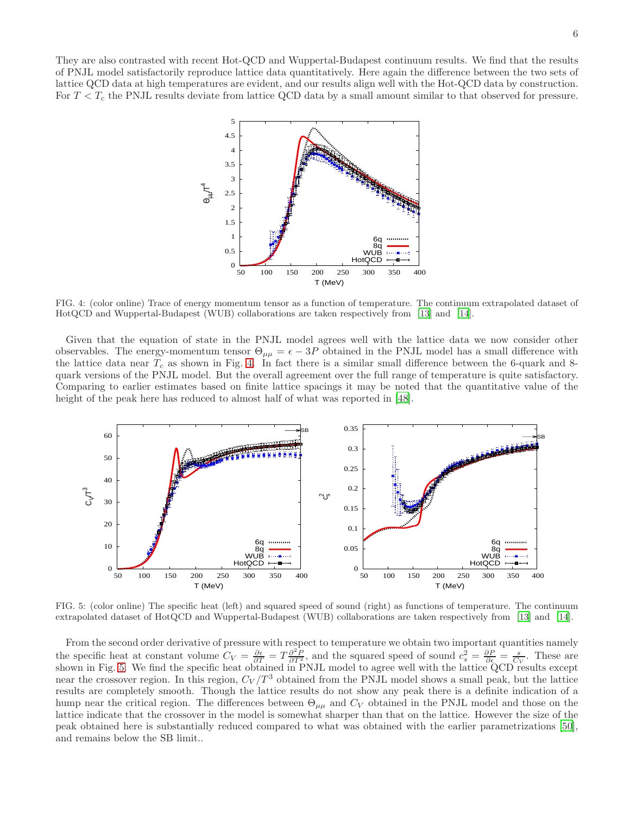They are also contrasted with recent Hot-QCD and Wuppertal-Budapest continuum results. We find that the results of PNJL model satisfactorily reproduce lattice data quantitatively. Here again the difference between the two sets of lattice QCD data at high temperatures are evident, and our results align well with the Hot-QCD data by construction. For  $T < T_c$  the PNJL results deviate from lattice QCD data by a small amount similar to that observed for pressure.



<span id="page-5-0"></span>FIG. 4: (color online) Trace of energy momentum tensor as a function of temperature. The continuum extrapolated dataset of HotQCD and Wuppertal-Budapest (WUB) collaborations are taken respectively from [\[13](#page-12-2)] and [\[14](#page-12-3)].

Given that the equation of state in the PNJL model agrees well with the lattice data we now consider other observables. The energy-momentum tensor  $\Theta_{\mu\mu} = \epsilon - 3P$  obtained in the PNJL model has a small difference with the lattice data near  $T_c$  as shown in Fig. [4.](#page-5-0) In fact there is a similar small difference between the 6-quark and 8quark versions of the PNJL model. But the overall agreement over the full range of temperature is quite satisfactory. Comparing to earlier estimates based on finite lattice spacings it may be noted that the quantitative value of the height of the peak here has reduced to almost half of what was reported in [\[48\]](#page-12-18).



<span id="page-5-1"></span>FIG. 5: (color online) The specific heat (left) and squared speed of sound (right) as functions of temperature. The continuum extrapolated dataset of HotQCD and Wuppertal-Budapest (WUB) collaborations are taken respectively from [\[13](#page-12-2)] and [\[14](#page-12-3)].

From the second order derivative of pressure with respect to temperature we obtain two important quantities namely the specific heat at constant volume  $C_V = \frac{\partial \epsilon}{\partial T} = T \frac{\partial^2 P}{\partial T^2}$ , and the squared speed of sound  $c_s^2 = \frac{\partial P}{\partial \epsilon} = \frac{s}{C_V}$ . These are shown in Fig. [5.](#page-5-1) We find the specific heat obtained in PNJL model to agree well with the lattice QCD results except near the crossover region. In this region,  $C_V/T^3$  obtained from the PNJL model shows a small peak, but the lattice results are completely smooth. Though the lattice results do not show any peak there is a definite indication of a hump near the critical region. The differences between  $\Theta_{\mu\mu}$  and  $C_V$  obtained in the PNJL model and those on the lattice indicate that the crossover in the model is somewhat sharper than that on the lattice. However the size of the peak obtained here is substantially reduced compared to what was obtained with the earlier parametrizations [\[50\]](#page-12-19), and remains below the SB limit..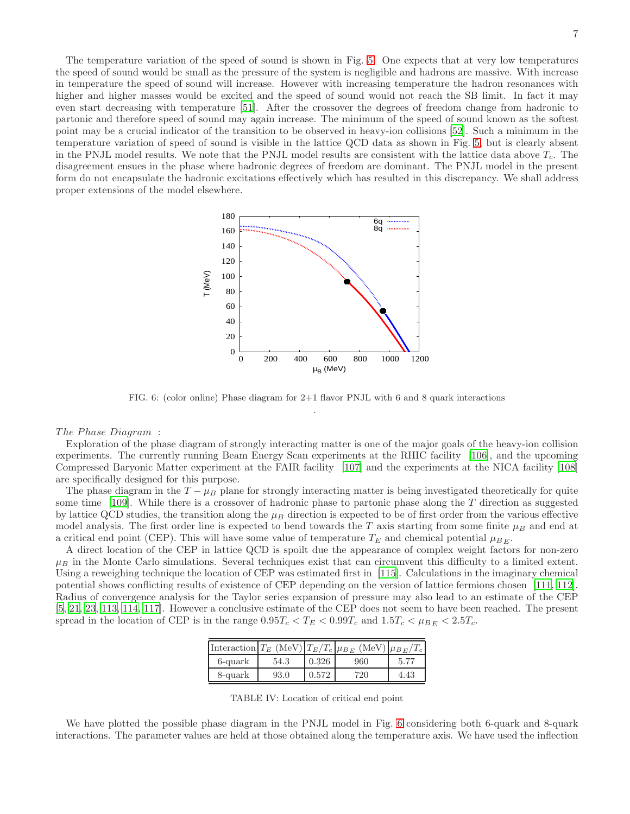The temperature variation of the speed of sound is shown in Fig. [5.](#page-5-1) One expects that at very low temperatures the speed of sound would be small as the pressure of the system is negligible and hadrons are massive. With increase in temperature the speed of sound will increase. However with increasing temperature the hadron resonances with higher and higher masses would be excited and the speed of sound would not reach the SB limit. In fact it may even start decreasing with temperature [\[51\]](#page-12-35). After the crossover the degrees of freedom change from hadronic to partonic and therefore speed of sound may again increase. The minimum of the speed of sound known as the softest point may be a crucial indicator of the transition to be observed in heavy-ion collisions [\[52\]](#page-12-36). Such a minimum in the temperature variation of speed of sound is visible in the lattice QCD data as shown in Fig. [5,](#page-5-1) but is clearly absent in the PNJL model results. We note that the PNJL model results are consistent with the lattice data above  $T_c$ . The disagreement ensues in the phase where hadronic degrees of freedom are dominant. The PNJL model in the present form do not encapsulate the hadronic excitations effectively which has resulted in this discrepancy. We shall address proper extensions of the model elsewhere.



<span id="page-6-0"></span>FIG. 6: (color online) Phase diagram for 2+1 flavor PNJL with 6 and 8 quark interactions .

### The Phase Diagram:

Exploration of the phase diagram of strongly interacting matter is one of the major goals of the heavy-ion collision experiments. The currently running Beam Energy Scan experiments at the RHIC facility [\[106](#page-13-19)], and the upcoming Compressed Baryonic Matter experiment at the FAIR facility [\[107\]](#page-13-20) and the experiments at the NICA facility [\[108](#page-13-21)] are specifically designed for this purpose.

The phase diagram in the  $T - \mu_B$  plane for strongly interacting matter is being investigated theoretically for quite some time  $[109]$ . While there is a crossover of hadronic phase to partonic phase along the T direction as suggested by lattice QCD studies, the transition along the  $\mu_B$  direction is expected to be of first order from the various effective model analysis. The first order line is expected to bend towards the T axis starting from some finite  $\mu_B$  and end at a critical end point (CEP). This will have some value of temperature  $T_E$  and chemical potential  $\mu_{BE}$ .

A direct location of the CEP in lattice QCD is spoilt due the appearance of complex weight factors for non-zero  $\mu_B$  in the Monte Carlo simulations. Several techniques exist that can circumvent this difficulty to a limited extent. Using a reweighing technique the location of CEP was estimated first in [\[115\]](#page-13-23). Calculations in the imaginary chemical potential shows conflicting results of existence of CEP depending on the version of lattice fermions chosen [\[111,](#page-13-24) [112\]](#page-13-25). Radius of convergence analysis for the Taylor series expansion of pressure may also lead to an estimate of the CEP [\[5,](#page-11-2) [21,](#page-12-37) [23,](#page-12-38) [113,](#page-13-26) [114](#page-13-27), [117\]](#page-13-28). However a conclusive estimate of the CEP does not seem to have been reached. The present spread in the location of CEP is in the range  $0.95T_c < T_E < 0.99T_c$  and  $1.5T_c < \mu_{B_E} < 2.5T_c$ .

|         |      |       | Interaction $T_E$ (MeV) $T_E/T_c$ $\mu_{B_E}$ (MeV) $\mu_{B_E}/T_c$ |      |
|---------|------|-------|---------------------------------------------------------------------|------|
| 6-quark | 54.3 | 0.326 | 960                                                                 | 5.77 |
| 8-quark | 93.0 | 0.572 | 720                                                                 | 4.43 |

<span id="page-6-1"></span>TABLE IV: Location of critical end point

We have plotted the possible phase diagram in the PNJL model in Fig. [6](#page-6-0) considering both 6-quark and 8-quark interactions. The parameter values are held at those obtained along the temperature axis. We have used the inflection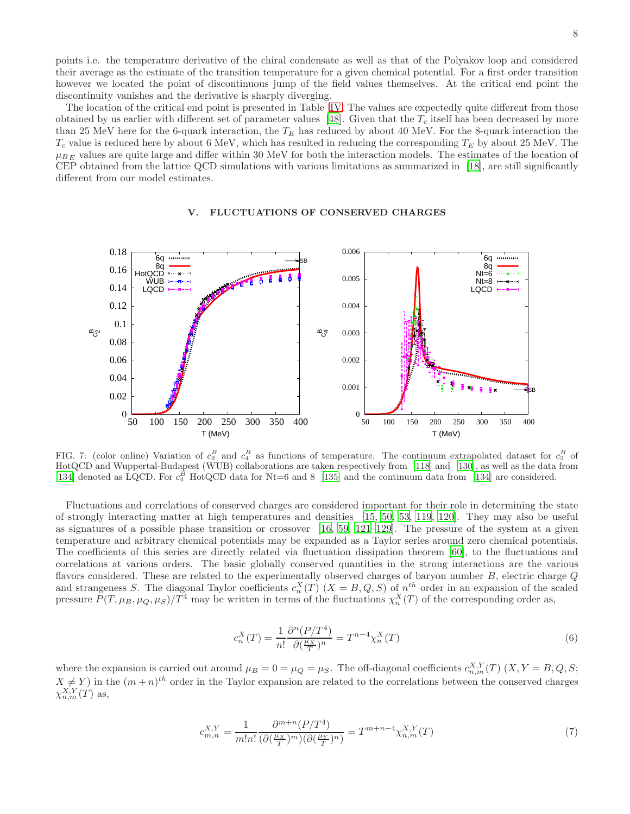points i.e. the temperature derivative of the chiral condensate as well as that of the Polyakov loop and considered their average as the estimate of the transition temperature for a given chemical potential. For a first order transition however we located the point of discontinuous jump of the field values themselves. At the critical end point the discontinuity vanishes and the derivative is sharply diverging.

The location of the critical end point is presented in Table [IV.](#page-6-1) The values are expectedly quite different from those obtained by us earlier with different set of parameter values [\[48\]](#page-12-18). Given that the  $T_c$  itself has been decreased by more than 25 MeV here for the 6-quark interaction, the  $T_E$  has reduced by about 40 MeV. For the 8-quark interaction the  $T_c$  value is reduced here by about 6 MeV, which has resulted in reducing the corresponding  $T_E$  by about 25 MeV. The  $\mu_{BE}$  values are quite large and differ within 30 MeV for both the interaction models. The estimates of the location of CEP obtained from the lattice QCD simulations with various limitations as summarized in [\[18\]](#page-12-6), are still significantly different from our model estimates.

### 0.18 0.006  $6<sub>q</sub>$ 6q SB 8q HotQCD 8q 0.16  $\frac{1}{2}, \ldots, \frac{1}{26}, \ldots, \frac{1}{26}$ Nt=6 0.005 WUB Nt=8 0.14 LQCD LQCD 0.12 0.004 0.1 മുപ cB 4 0.003 0.08 0.06 0.002 0.04 0.001 SB 0.02 0 0 50 100 150 200 250 300 350 400 50 100 150 200 250 300 350 400 T (MeV) T (MeV)

### <span id="page-7-0"></span>V. FLUCTUATIONS OF CONSERVED CHARGES

<span id="page-7-1"></span>FIG. 7: (color online) Variation of  $c_2^B$  and  $c_4^B$  as functions of temperature. The continuum extrapolated dataset for  $c_2^B$  of HotQCD and Wuppertal-Budapest (WUB) collaborations are taken respectively from [\[118\]](#page-13-29) and [\[130](#page-14-0)], as well as the data from [\[134](#page-14-1)] denoted as LQCD. For  $c_4^B$  HotQCD data for Nt=6 and 8 [\[135\]](#page-14-2) and the continuum data from [\[134](#page-14-1)] are considered.

Fluctuations and correlations of conserved charges are considered important for their role in determining the state of strongly interacting matter at high temperatures and densities [\[15,](#page-12-4) [50](#page-12-19), [53,](#page-12-20) [119,](#page-13-30) [120](#page-14-3)]. They may also be useful as signatures of a possible phase transition or crossover [\[16,](#page-12-39) [59,](#page-12-26) [121](#page-14-4)[–129\]](#page-14-5). The pressure of the system at a given temperature and arbitrary chemical potentials may be expanded as a Taylor series around zero chemical potentials. The coefficients of this series are directly related via fluctuation dissipation theorem [\[60](#page-12-27)], to the fluctuations and correlations at various orders. The basic globally conserved quantities in the strong interactions are the various flavors considered. These are related to the experimentally observed charges of baryon number B, electric charge Q and strangeness S. The diagonal Taylor coefficients  $c_n^X(T)$   $(X = B, Q, S)$  of  $n^{th}$  order in an expansion of the scaled pressure  $P(T, \mu_B, \mu_Q, \mu_S)/T^4$  may be written in terms of the fluctuations  $\chi_n^X(T)$  of the corresponding order as,

$$
c_n^X(T) = \frac{1}{n!} \frac{\partial^n (P/T^4)}{\partial (\frac{\mu_X}{T})^n} = T^{n-4} \chi_n^X(T) \tag{6}
$$

where the expansion is carried out around  $\mu_B = 0 = \mu_Q = \mu_S$ . The off-diagonal coefficients  $c_{n,m}^{X,Y}(T)$   $(X, Y = B, Q, S;$ where the expansion is carried out around  $\mu_B = 0 = \mu_Q = \mu_S$ . The off-diagonal coefficients  $c_{n,m}^{X,Y}(T)(X, Y = B, Q, S;$  $X \neq Y$ ) in the  $(m+n)^{th}$  order in the Taylor expansion are related to the correlations between the conserved charges  $\chi_{n,m}^{X,Y}(T)$  as,

$$
c_{m,n}^{X,Y} = \frac{1}{m!n!} \frac{\partial^{m+n}(P/T^4)}{(\partial(\frac{\mu_X}{T})^m)(\partial(\frac{\mu_Y}{T})^n)} = T^{m+n-4} \chi_{n,m}^{X,Y}(T)
$$
(7)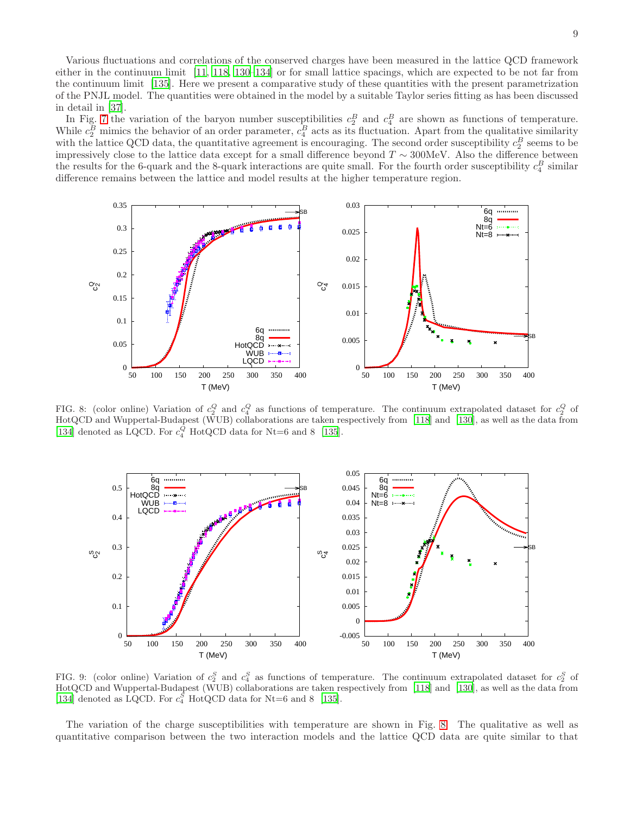Various fluctuations and correlations of the conserved charges have been measured in the lattice QCD framework either in the continuum limit [\[11,](#page-12-0) [118,](#page-13-29) [130](#page-14-0)[–134\]](#page-14-1) or for small lattice spacings, which are expected to be not far from the continuum limit [\[135](#page-14-2)]. Here we present a comparative study of these quantities with the present parametrization of the PNJL model. The quantities were obtained in the model by a suitable Taylor series fitting as has been discussed in detail in [\[37\]](#page-12-40).

In Fig. [7](#page-7-1) the variation of the baryon number susceptibilities  $c_2^B$  and  $c_4^B$  are shown as functions of temperature. While  $c_2^B$  mimics the behavior of an order parameter,  $c_4^B$  acts as its fluctuation. Apart from the qualitative similarity with the lattice QCD data, the quantitative agreement is encouraging. The second order susceptibility  $c_2^B$  seems to be impressively close to the lattice data except for a small difference beyond  $T \sim 300 \text{MeV}$ . Also the difference between the results for the 6-quark and the 8-quark interactions are quite small. For the fourth order susceptibility  $c_4^B$  similar difference remains between the lattice and model results at the higher temperature region.



<span id="page-8-0"></span>FIG. 8: (color online) Variation of  $c_2^Q$  and  $c_4^Q$  as functions of temperature. The continuum extrapolated dataset for  $c_2^Q$  of HotQCD and Wuppertal-Budapest (WUB) collaborations are taken respectively from [\[118\]](#page-13-29) and [\[130](#page-14-0)], as well as the data from [\[134](#page-14-1)] denoted as LQCD. For  $c_4^Q$  HotQCD data for Nt=6 and 8 [\[135\]](#page-14-2).



<span id="page-8-1"></span>FIG. 9: (color online) Variation of  $c_2^S$  and  $c_4^S$  as functions of temperature. The continuum extrapolated dataset for  $c_2^S$  of HotQCD and Wuppertal-Budapest (WUB) collaborations are taken respectively from [\[118\]](#page-13-29) and [\[130](#page-14-0)], as well as the data from [\[134](#page-14-1)] denoted as LQCD. For  $c_4^S$  HotQCD data for Nt=6 and 8 [\[135\]](#page-14-2).

The variation of the charge susceptibilities with temperature are shown in Fig. [8.](#page-8-0) The qualitative as well as quantitative comparison between the two interaction models and the lattice QCD data are quite similar to that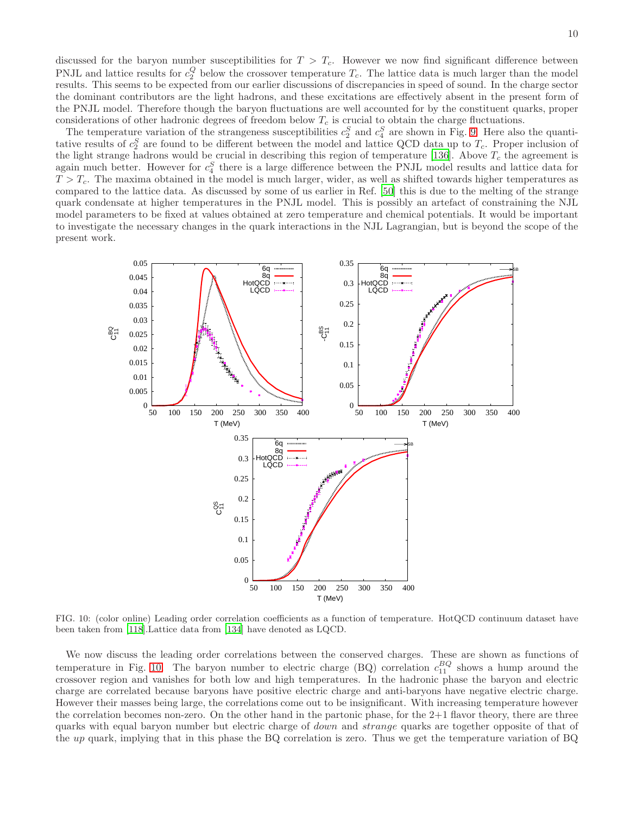discussed for the baryon number susceptibilities for  $T > T_c$ . However we now find significant difference between PNJL and lattice results for  $c_2^Q$  below the crossover temperature  $T_c$ . The lattice data is much larger than the model results. This seems to be expected from our earlier discussions of discrepancies in speed of sound. In the charge sector the dominant contributors are the light hadrons, and these excitations are effectively absent in the present form of the PNJL model. Therefore though the baryon fluctuations are well accounted for by the constituent quarks, proper considerations of other hadronic degrees of freedom below  $T_c$  is crucial to obtain the charge fluctuations.

The temperature variation of the strangeness susceptibilities  $c_2^S$  and  $c_4^S$  are shown in Fig. [9.](#page-8-1) Here also the quantitative results of  $c_2^S$  are found to be different between the model and lattice QCD data up to  $T_c$ . Proper inclusion of the light strange hadrons would be crucial in describing this region of temperature [\[136](#page-14-6)]. Above  $T_c$  the agreement is again much better. However for  $c_4^S$  there is a large difference between the PNJL model results and lattice data for  $T > T_c$ . The maxima obtained in the model is much larger, wider, as well as shifted towards higher temperatures as compared to the lattice data. As discussed by some of us earlier in Ref. [\[50](#page-12-19)] this is due to the melting of the strange quark condensate at higher temperatures in the PNJL model. This is possibly an artefact of constraining the NJL model parameters to be fixed at values obtained at zero temperature and chemical potentials. It would be important to investigate the necessary changes in the quark interactions in the NJL Lagrangian, but is beyond the scope of the present work.



<span id="page-9-0"></span>FIG. 10: (color online) Leading order correlation coefficients as a function of temperature. HotQCD continuum dataset have been taken from [\[118\]](#page-13-29).Lattice data from [\[134](#page-14-1)] have denoted as LQCD.

We now discuss the leading order correlations between the conserved charges. These are shown as functions of temperature in Fig. [10.](#page-9-0) The baryon number to electric charge (BQ) correlation  $c_{11}^{BQ}$  shows a hump around the crossover region and vanishes for both low and high temperatures. In the hadronic phase the baryon and electric charge are correlated because baryons have positive electric charge and anti-baryons have negative electric charge. However their masses being large, the correlations come out to be insignificant. With increasing temperature however the correlation becomes non-zero. On the other hand in the partonic phase, for the  $2+1$  flavor theory, there are three quarks with equal baryon number but electric charge of down and strange quarks are together opposite of that of the up quark, implying that in this phase the BQ correlation is zero. Thus we get the temperature variation of BQ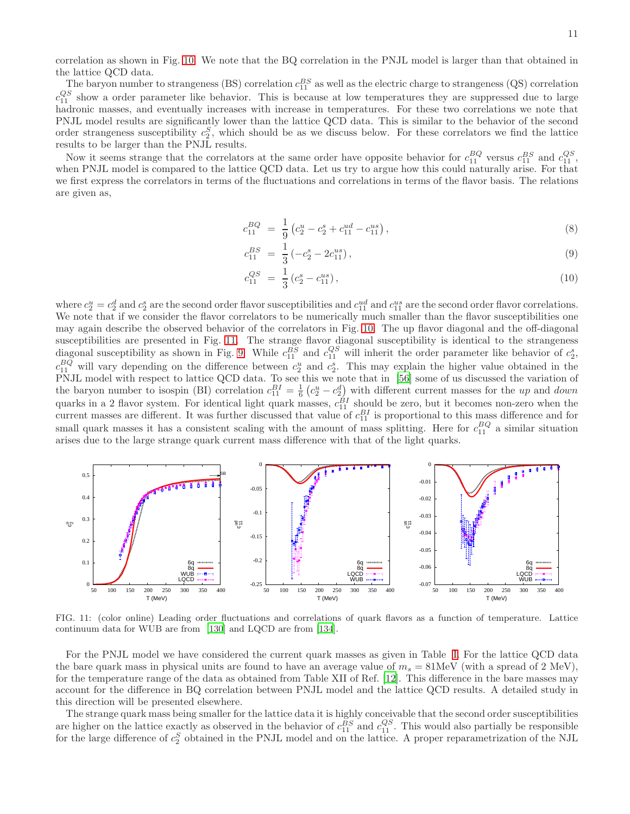correlation as shown in Fig. [10.](#page-9-0) We note that the BQ correlation in the PNJL model is larger than that obtained in the lattice QCD data.

The baryon number to strangeness (BS) correlation  $c_{11}^{BS}$  as well as the electric charge to strangeness (QS) correlation  $c_{11}^{QS}$  show a order parameter like behavior. This is because at low temperatures they are suppressed due to large hadronic masses, and eventually increases with increase in temperatures. For these two correlations we note that PNJL model results are significantly lower than the lattice QCD data. This is similar to the behavior of the second order strangeness susceptibility  $c_2^S$ , which should be as we discuss below. For these correlators we find the lattice results to be larger than the PNJL results.

Now it seems strange that the correlators at the same order have opposite behavior for  $c_{11}^{BQ}$  versus  $c_{11}^{BS}$  and  $c_{11}^{QS}$ , when PNJL model is compared to the lattice QCD data. Let us try to argue how this could naturally arise. For that we first express the correlators in terms of the fluctuations and correlations in terms of the flavor basis. The relations are given as,

$$
c_{11}^{BQ} = \frac{1}{9} \left( c_2^u - c_2^s + c_{11}^{ud} - c_{11}^{us} \right), \tag{8}
$$

$$
c_{11}^{BS} = \frac{1}{3} \left( -c_2^s - 2c_{11}^{us} \right), \tag{9}
$$

$$
c_{11}^{QS} = \frac{1}{3} (c_2^s - c_{11}^{us}), \qquad (10)
$$

where  $c_2^u = c_2^d$  and  $c_2^s$  are the second order flavor susceptibilities and  $c_{11}^{ud}$  and  $c_{11}^{us}$  are the second order flavor correlations. We note that if we consider the flavor correlators to be numerically much smaller than the flavor susceptibilities one may again describe the observed behavior of the correlators in Fig. [10.](#page-9-0) The up flavor diagonal and the off-diagonal susceptibilities are presented in Fig. [11.](#page-10-0) The strange flavor diagonal susceptibility is identical to the strangeness diagonal susceptibility as shown in Fig. [9.](#page-8-1) While  $c_{11}^{BS}$  and  $c_{11}^{QS}$  will inherit the order parameter like behavior of  $c_2^s$ ,  $c_{11}^{BQ}$  will vary depending on the difference between  $c_2^u$  and  $c_2^s$ . This may explain the higher value obtained in the PNJL model with respect to lattice QCD data. To see this we note that in [\[56\]](#page-12-23) some of us discussed the variation of the baryon number to isospin (BI) correlation  $c_{11}^{BI} = \frac{1}{6} \left( c_2^u - c_2^d \right)$  with different current masses for the up and down quarks in a 2 flavor system. For identical light quark masses,  $c_{11}^{BI}$  should be zero, but it becomes non-zero when the current masses are different. It was further discussed that value of  $c_{11}^{BI}$  is proportional to this mass difference and for small quark masses it has a consistent scaling with the amount of mass splitting. Here for  $c_{11}^{BQ}$  a similar situation arises due to the large strange quark current mass difference with that of the light quarks.



<span id="page-10-0"></span>FIG. 11: (color online) Leading order fluctuations and correlations of quark flavors as a function of temperature. Lattice continuum data for WUB are from [\[130](#page-14-0)] and LQCD are from [\[134\]](#page-14-1).

For the PNJL model we have considered the current quark masses as given in Table [I.](#page-2-0) For the lattice QCD data the bare quark mass in physical units are found to have an average value of  $m_s = 81$ MeV (with a spread of 2 MeV), for the temperature range of the data as obtained from Table XII of Ref. [\[12\]](#page-12-1). This difference in the bare masses may account for the difference in BQ correlation between PNJL model and the lattice QCD results. A detailed study in this direction will be presented elsewhere.

The strange quark mass being smaller for the lattice data it is highly conceivable that the second order susceptibilities are higher on the lattice exactly as observed in the behavior of  $c_{11}^{BS}$  and  $c_{11}^{QS}$ . This would also partially be responsible for the large difference of  $c_2^S$  obtained in the PNJL model and on the lattice. A proper reparametrization of the NJL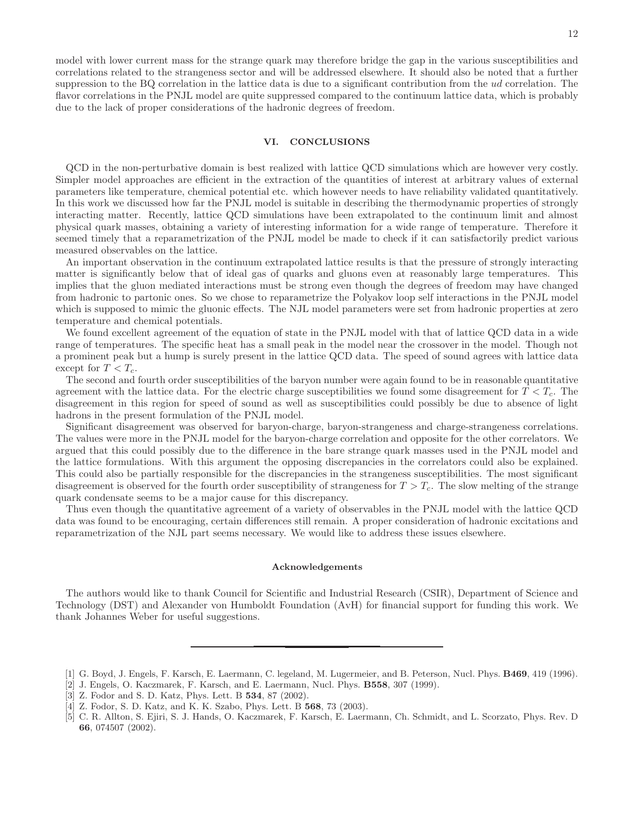model with lower current mass for the strange quark may therefore bridge the gap in the various susceptibilities and correlations related to the strangeness sector and will be addressed elsewhere. It should also be noted that a further suppression to the BQ correlation in the lattice data is due to a significant contribution from the ud correlation. The flavor correlations in the PNJL model are quite suppressed compared to the continuum lattice data, which is probably due to the lack of proper considerations of the hadronic degrees of freedom.

# VI. CONCLUSIONS

QCD in the non-perturbative domain is best realized with lattice QCD simulations which are however very costly. Simpler model approaches are efficient in the extraction of the quantities of interest at arbitrary values of external parameters like temperature, chemical potential etc. which however needs to have reliability validated quantitatively. In this work we discussed how far the PNJL model is suitable in describing the thermodynamic properties of strongly interacting matter. Recently, lattice QCD simulations have been extrapolated to the continuum limit and almost physical quark masses, obtaining a variety of interesting information for a wide range of temperature. Therefore it seemed timely that a reparametrization of the PNJL model be made to check if it can satisfactorily predict various measured observables on the lattice.

An important observation in the continuum extrapolated lattice results is that the pressure of strongly interacting matter is significantly below that of ideal gas of quarks and gluons even at reasonably large temperatures. This implies that the gluon mediated interactions must be strong even though the degrees of freedom may have changed from hadronic to partonic ones. So we chose to reparametrize the Polyakov loop self interactions in the PNJL model which is supposed to mimic the gluonic effects. The NJL model parameters were set from hadronic properties at zero temperature and chemical potentials.

We found excellent agreement of the equation of state in the PNJL model with that of lattice QCD data in a wide range of temperatures. The specific heat has a small peak in the model near the crossover in the model. Though not a prominent peak but a hump is surely present in the lattice QCD data. The speed of sound agrees with lattice data except for  $T < T_c$ .

The second and fourth order susceptibilities of the baryon number were again found to be in reasonable quantitative agreement with the lattice data. For the electric charge susceptibilities we found some disagreement for  $T < T_c$ . The disagreement in this region for speed of sound as well as susceptibilities could possibly be due to absence of light hadrons in the present formulation of the PNJL model.

Significant disagreement was observed for baryon-charge, baryon-strangeness and charge-strangeness correlations. The values were more in the PNJL model for the baryon-charge correlation and opposite for the other correlators. We argued that this could possibly due to the difference in the bare strange quark masses used in the PNJL model and the lattice formulations. With this argument the opposing discrepancies in the correlators could also be explained. This could also be partially responsible for the discrepancies in the strangeness susceptibilities. The most significant disagreement is observed for the fourth order susceptibility of strangeness for  $T > T_c$ . The slow melting of the strange quark condensate seems to be a major cause for this discrepancy.

Thus even though the quantitative agreement of a variety of observables in the PNJL model with the lattice QCD data was found to be encouraging, certain differences still remain. A proper consideration of hadronic excitations and reparametrization of the NJL part seems necessary. We would like to address these issues elsewhere.

### Acknowledgements

The authors would like to thank Council for Scientific and Industrial Research (CSIR), Department of Science and Technology (DST) and Alexander von Humboldt Foundation (AvH) for financial support for funding this work. We thank Johannes Weber for useful suggestions.

<span id="page-11-0"></span><sup>[1]</sup> G. Boyd, J. Engels, F. Karsch, E. Laermann, C. legeland, M. Lugermeier, and B. Peterson, Nucl. Phys. B469, 419 (1996).

<sup>[2]</sup> J. Engels, O. Kaczmarek, F. Karsch, and E. Laermann, Nucl. Phys. B558, 307 (1999).

<span id="page-11-1"></span><sup>[3]</sup> Z. Fodor and S. D. Katz, Phys. Lett. B 534, 87 (2002).

<sup>[4]</sup> Z. Fodor, S. D. Katz, and K. K. Szabo, Phys. Lett. B 568, 73 (2003).

<span id="page-11-2"></span><sup>[5]</sup> C. R. Allton, S. Ejiri, S. J. Hands, O. Kaczmarek, F. Karsch, E. Laermann, Ch. Schmidt, and L. Scorzato, Phys. Rev. D 66, 074507 (2002).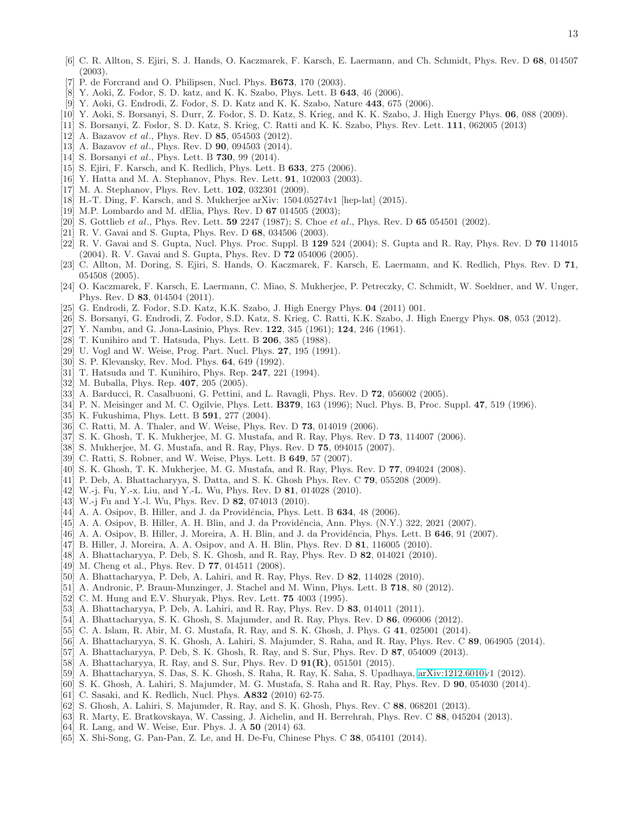- <span id="page-12-7"></span>[6] C. R. Allton, S. Ejiri, S. J. Hands, O. Kaczmarek, F. Karsch, E. Laermann, and Ch. Schmidt, Phys. Rev. D 68, 014507 (2003).
- <span id="page-12-8"></span>[7] P. de Forcrand and O. Philipsen, Nucl. Phys. B673, 170 (2003).
- <span id="page-12-32"></span>[8] Y. Aoki, Z. Fodor, S. D. katz, and K. K. Szabo, Phys. Lett. B 643, 46 (2006).
- [9] Y. Aoki, G. Endrodi, Z. Fodor, S. D. Katz and K. K. Szabo, Nature 443, 675 (2006).
- <span id="page-12-33"></span>[10] Y. Aoki, S. Borsanyi, S. Durr, Z. Fodor, S. D. Katz, S. Krieg, and K. K. Szabo, J. High Energy Phys. 06, 088 (2009).
- <span id="page-12-0"></span>[11] S. Borsanyi, Z. Fodor, S. D. Katz, S. Krieg, C. Ratti and K. K. Szabo, Phys. Rev. Lett. 111, 062005 (2013)
- <span id="page-12-1"></span>[12] A. Bazavov *et al.*, Phys. Rev. D **85**, 054503 (2012).
- <span id="page-12-2"></span>[13] A. Bazavov et al., Phys. Rev. D  $90, 094503$  (2014).
- <span id="page-12-3"></span>[14] S. Borsanyi et al., Phys. Lett. B **730**, 99 (2014).
- <span id="page-12-4"></span>[15] S. Ejiri, F. Karsch, and K. Redlich, Phys. Lett. B 633, 275 (2006).
- <span id="page-12-39"></span>[16] Y. Hatta and M. A. Stephanov, Phys. Rev. Lett. **91**, 102003 (2003).
- <span id="page-12-5"></span>[17] M. A. Stephanov, Phys. Rev. Lett. **102**, 032301 (2009).
- <span id="page-12-6"></span>[18] H.-T. Ding, F. Karsch, and S. Mukherjee arXiv: 1504.05274v1 [hep-lat] (2015).
- <span id="page-12-9"></span>[19] M.P. Lombardo and M. dElia, Phys. Rev. D **67** 014505 (2003);
- [20] S. Gottlieb et al., Phys. Rev. Lett. **59** 2247 (1987); S. Choe et al., Phys. Rev. D **65** 054501 (2002).
- <span id="page-12-37"></span>[21] R. V. Gavai and S. Gupta, Phys. Rev. D 68, 034506 (2003).
- [22] R. V. Gavai and S. Gupta, Nucl. Phys. Proc. Suppl. B 129 524 (2004); S. Gupta and R. Ray, Phys. Rev. D 70 114015 (2004). R. V. Gavai and S. Gupta, Phys. Rev. D 72 054006 (2005).
- <span id="page-12-38"></span>[23] C. Allton, M. Doring, S. Ejiri, S. Hands, O. Kaczmarek, F. Karsch, E. Laermann, and K. Redlich, Phys. Rev. D 71, 054508 (2005).
- [24] O. Kaczmarek, F. Karsch, E. Laermann, C. Miao, S. Mukherjee, P. Petreczky, C. Schmidt, W. Soeldner, and W. Unger, Phys. Rev. D 83, 014504 (2011).
- [25] G. Endrodi, Z. Fodor, S.D. Katz, K.K. Szabo, J. High Energy Phys. 04 (2011) 001.
- <span id="page-12-10"></span>[26] S. Borsanyi, G. Endrodi, Z. Fodor, S.D. Katz, S. Krieg, C. Ratti, K.K. Szabo, J. High Energy Phys. 08, 053 (2012).
- <span id="page-12-11"></span>[27] Y. Nambu, and G. Jona-Lasinio, Phys. Rev. 122, 345 (1961); 124, 246 (1961).
- [28] T. Kunihiro and T. Hatsuda, Phys. Lett. B 206, 385 (1988).
- [29] U. Vogl and W. Weise, Prog. Part. Nucl. Phys. 27, 195 (1991).
- [30] S. P. Klevansky, Rev. Mod. Phys. 64, 649 (1992).
- [31] T. Hatsuda and T. Kunihiro, Phys. Rep. 247, 221 (1994).
- [32] M. Buballa, Phys. Rep. 407, 205 (2005).
- <span id="page-12-12"></span>[33] A. Barducci, R. Casalbuoni, G. Pettini, and L. Ravagli, Phys. Rev. D **72**, 056002 (2005).
- <span id="page-12-13"></span>[34] P. N. Meisinger and M. C. Ogilvie, Phys. Lett. **B379**, 163 (1996); Nucl. Phys. B, Proc. Suppl. 47, 519 (1996).
- [35] K. Fukushima, Phys. Lett. B **591**, 277 (2004).
- <span id="page-12-14"></span>[36] C. Ratti, M. A. Thaler, and W. Weise, Phys. Rev. D **73**, 014019 (2006).
- <span id="page-12-40"></span>[37] S. K. Ghosh, T. K. Mukherjee, M. G. Mustafa, and R. Ray, Phys. Rev. D 73, 114007 (2006).
- <span id="page-12-29"></span>[38] S. Mukherjee, M. G. Mustafa, and R. Ray, Phys. Rev. D 75, 094015 (2007).
- <span id="page-12-31"></span>[39] C. Ratti, S. Robner, and W. Weise, Phys. Lett. B **649**, 57 (2007).
- <span id="page-12-30"></span>[40] S. K. Ghosh, T. K. Mukherjee, M. G. Mustafa, and R. Ray, Phys. Rev. D 77, 094024 (2008).
- [41] P. Deb, A. Bhattacharyya, S. Datta, and S. K. Ghosh Phys. Rev. C 79, 055208 (2009).
- [42] W.-j. Fu, Y.-x. Liu, and Y.-L. Wu, Phys. Rev. D 81, 014028 (2010).
- <span id="page-12-15"></span>[43] W.-j Fu and Y.-l. Wu, Phys. Rev. D 82, 074013 (2010).
- <span id="page-12-16"></span>[44] A. A. Osipov, B. Hiller, and J. da Providência, Phys. Lett. B 634, 48 (2006).
- [45] A. A. Osipov, B. Hiller, A. H. Blin, and J. da Providência, Ann. Phys. (N.Y.) 322, 2021 (2007).
- [46] A. A. Osipov, B. Hiller, J. Moreira, A. H. Blin, and J. da Providência, Phys. Lett. B 646, 91 (2007).
- <span id="page-12-17"></span>[47] B. Hiller, J. Moreira, A. A. Osipov, and A. H. Blin, Phys. Rev. D 81, 116005 (2010).
- <span id="page-12-18"></span>[48] A. Bhattacharyya, P. Deb, S. K. Ghosh, and R. Ray, Phys. Rev. D 82, 014021 (2010).
- <span id="page-12-34"></span>[49] M. Cheng et al., Phys. Rev. D **77**, 014511 (2008).
- <span id="page-12-19"></span>[50] A. Bhattacharyya, P. Deb, A. Lahiri, and R. Ray, Phys. Rev. D 82, 114028 (2010).
- <span id="page-12-35"></span>[51] A. Andronic, P. Braun-Munzinger, J. Stachel and M. Winn, Phys. Lett. B 718, 80 (2012).
- <span id="page-12-36"></span>[52] C. M. Hung and E.V. Shuryak, Phys. Rev. Lett. 75 4003 (1995).
- <span id="page-12-20"></span>[53] A. Bhattacharyya, P. Deb, A. Lahiri, and R. Ray, Phys. Rev. D 83, 014011 (2011).
- <span id="page-12-21"></span>[54] A. Bhattacharyya, S. K. Ghosh, S. Majumder, and R. Ray, Phys. Rev. D 86, 096006 (2012).
- <span id="page-12-22"></span>[55] C. A. Islam, R. Abir, M. G. Mustafa, R. Ray, and S. K. Ghosh, J. Phys. G 41, 025001 (2014).
- <span id="page-12-23"></span>[56] A. Bhattacharyya, S. K. Ghosh, A. Lahiri, S. Majumder, S. Raha, and R. Ray, Phys. Rev. C 89, 064905 (2014).
- <span id="page-12-24"></span>[57] A. Bhattacharyya, P. Deb, S. K. Ghosh, R. Ray, and S. Sur, Phys. Rev. D 87, 054009 (2013).
- <span id="page-12-25"></span>[58] A. Bhattacharyya, R. Ray, and S. Sur, Phys. Rev. D 91(R), 051501 (2015).
- <span id="page-12-26"></span>[59] A. Bhattacharyya, S. Das, S. K. Ghosh, S. Raha, R. Ray, K. Saha, S. Upadhaya, [arXiv:1212.6010v](http://arxiv.org/abs/1212.6010)1 (2012).
- <span id="page-12-27"></span>[60] S. K. Ghosh, A. Lahiri, S. Majumder, M. G. Mustafa, S. Raha and R. Ray, Phys. Rev. D 90, 054030 (2014).
- <span id="page-12-28"></span>[61] C. Sasaki, and K. Redlich, Nucl. Phys. A832 (2010) 62-75.
- [62] S. Ghosh, A. Lahiri, S. Majumder, R. Ray, and S. K. Ghosh, Phys. Rev. C 88, 068201 (2013).
- [63] R. Marty, E. Bratkovskaya, W. Cassing, J. Aichelin, and H. Berrehrah, Phys. Rev. C 88, 045204 (2013).
- [64] R. Lang, and W. Weise, Eur. Phys. J. A 50 (2014) 63.
- [65] X. Shi-Song, G. Pan-Pan, Z. Le, and H. De-Fu, Chinese Phys. C 38, 054101 (2014).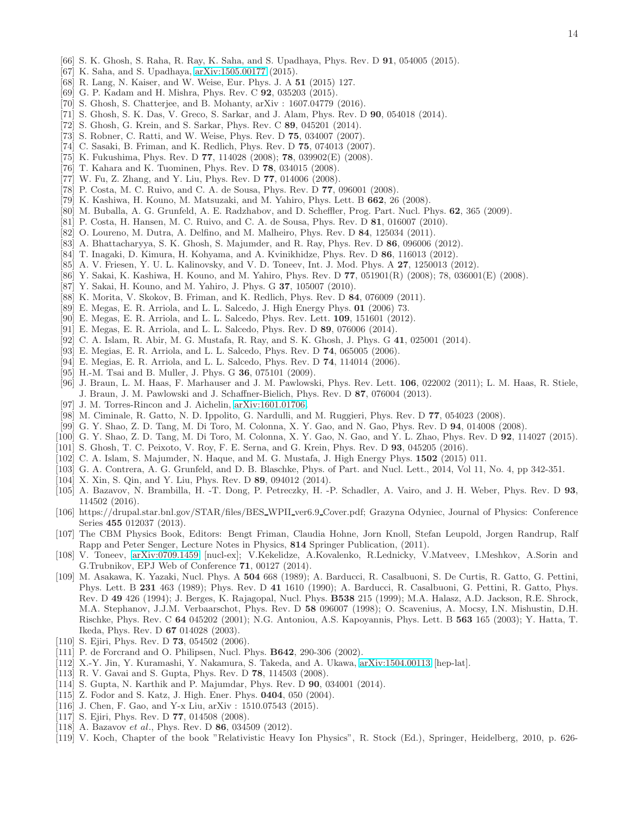- [66] S. K. Ghosh, S. Raha, R. Ray, K. Saha, and S. Upadhaya, Phys. Rev. D 91, 054005 (2015).
- [67] K. Saha, and S. Upadhaya, [arXiv:1505.00177](http://arxiv.org/abs/1505.00177) (2015).
- <span id="page-13-0"></span>[68] R. Lang, N. Kaiser, and W. Weise, Eur. Phys. J. A 51 (2015) 127.
- <span id="page-13-1"></span>[69] G. P. Kadam and H. Mishra, Phys. Rev. C 92, 035203 (2015).
- [70] S. Ghosh, S. Chatterjee, and B. Mohanty, arXiv : 1607.04779 (2016).
- [71] S. Ghosh, S. K. Das, V. Greco, S. Sarkar, and J. Alam, Phys. Rev. D 90, 054018 (2014).
- <span id="page-13-2"></span>[72] S. Ghosh, G. Krein, and S. Sarkar, Phys. Rev. C 89, 045201 (2014).
- <span id="page-13-3"></span>[73] S. Robner, C. Ratti, and W. Weise, Phys. Rev. D 75, 034007 (2007).
- [74] C. Sasaki, B. Friman, and K. Redlich, Phys. Rev. D 75, 074013 (2007).
- <span id="page-13-15"></span>[75] K. Fukushima, Phys. Rev. D 77, 114028 (2008); 78, 039902(E) (2008).
- [76] T. Kahara and K. Tuominen, Phys. Rev. D 78, 034015 (2008).
- [77] W. Fu, Z. Zhang, and Y. Liu, Phys. Rev. D 77, 014006 (2008).
- [78] P. Costa, M. C. Ruivo, and C. A. de Sousa, Phys. Rev. D 77, 096001 (2008).
- [79] K. Kashiwa, H. Kouno, M. Matsuzaki, and M. Yahiro, Phys. Lett. B 662, 26 (2008).
- [80] M. Buballa, A. G. Grunfeld, A. E. Radzhabov, and D. Scheffler, Prog. Part. Nucl. Phys. 62, 365 (2009).
- [81] P. Costa, H. Hansen, M. C. Ruivo, and C. A. de Sousa, Phys. Rev. D 81, 016007 (2010).
- [82] O. Loureno, M. Dutra, A. Delfino, and M. Malheiro, Phys. Rev. D 84, 125034 (2011).
- [83] A. Bhattacharyya, S. K. Ghosh, S. Majumder, and R. Ray, Phys. Rev. D 86, 096006 (2012).
- [84] T. Inagaki, D. Kimura, H. Kohyama, and A. Kvinikhidze, Phys. Rev. D 86, 116013 (2012).
- <span id="page-13-4"></span>[85] A. V. Friesen, Y. U. L. Kalinovsky, and V. D. Toneev, Int. J. Mod. Phys. A **27**, 1250013 (2012).
- <span id="page-13-5"></span>[86] Y. Sakai, K. Kashiwa, H. Kouno, and M. Yahiro, Phys. Rev. D 77, 051901(R) (2008); 78, 036001(E) (2008).
- [87] Y. Sakai, H. Kouno, and M. Yahiro, J. Phys. G 37, 105007 (2010).
- <span id="page-13-6"></span>[88] K. Morita, V. Skokov, B. Friman, and K. Redlich, Phys. Rev. D 84, 076009 (2011).
- <span id="page-13-7"></span>[89] E. Megas, E. R. Arriola, and L. L. Salcedo, J. High Energy Phys. 01 (2006) 73.
- [90] E. Megas, E. R. Arriola, and L. L. Salcedo, Phys. Rev. Lett. 109, 151601 (2012).
- [91] E. Megas, E. R. Arriola, and L. L. Salcedo, Phys. Rev. D 89, 076006 (2014).
- <span id="page-13-8"></span>[92] C. A. Islam, R. Abir, M. G. Mustafa, R. Ray, and S. K. Ghosh, J. Phys. G 41, 025001 (2014).
- <span id="page-13-9"></span>[93] E. Megias, E. R. Arriola, and L. L. Salcedo, Phys. Rev. D **74**, 065005 (2006).
- [94] E. Megias, E. R. Arriola, and L. L. Salcedo, Phys. Rev. D **74**, 114014 (2006).
- <span id="page-13-10"></span>[95] H.-M. Tsai and B. Muller, J. Phys. G **36**, 075101 (2009).
- <span id="page-13-11"></span>[96] J. Braun, L. M. Haas, F. Marhauser and J. M. Pawlowski, Phys. Rev. Lett. 106, 022002 (2011); L. M. Haas, R. Stiele, J. Braun, J. M. Pawlowski and J. Schaffner-Bielich, Phys. Rev. D 87, 076004 (2013).
- <span id="page-13-12"></span>[97] J. M. Torres-Rincon and J. Aichelin, [arXiv:1601.01706.](http://arxiv.org/abs/1601.01706)
- <span id="page-13-13"></span>[98] M. Ciminale, R. Gatto, N. D. Ippolito, G. Nardulli, and M. Ruggieri, Phys. Rev. D 77, 054023 (2008).
- [99] G. Y. Shao, Z. D. Tang, M. Di Toro, M. Colonna, X. Y. Gao, and N. Gao, Phys. Rev. D 94, 014008 (2008).
- [100] G. Y. Shao, Z. D. Tang, M. Di Toro, M. Colonna, X. Y. Gao, N. Gao, and Y. L. Zhao, Phys. Rev. D 92, 114027 (2015).
- [101] S. Ghosh, T. C. Peixoto, V. Roy, F. E. Serna, and G. Krein, Phys. Rev. D 93, 045205 (2016).
- <span id="page-13-14"></span>[102] C. A. Islam, S. Majumder, N. Haque, and M. G. Mustafa, J. High Energy Phys. 1502 (2015) 011.
- <span id="page-13-16"></span>[103] G. A. Contrera, A. G. Grunfeld, and D. B. Blaschke, Phys. of Part. and Nucl. Lett., 2014, Vol 11, No. 4, pp 342-351.
- <span id="page-13-17"></span>[104] X. Xin, S. Qin, and Y. Liu, Phys. Rev. D **89**, 094012 (2014).
- <span id="page-13-18"></span>[105] A. Bazavov, N. Brambilla, H. -T. Dong, P. Petreczky, H. -P. Schadler, A. Vairo, and J. H. Weber, Phys. Rev. D 93, 114502 (2016).
- <span id="page-13-19"></span>[106] https://drupal.star.bnl.gov/STAR/files/BES WPII ver6.9 Cover.pdf; Grazyna Odyniec, Journal of Physics: Conference Series 455 012037 (2013).
- <span id="page-13-20"></span>[107] The CBM Physics Book, Editors: Bengt Friman, Claudia Hohne, Jorn Knoll, Stefan Leupold, Jorgen Randrup, Ralf Rapp and Peter Senger, Lecture Notes in Physics, 814 Springer Publication, (2011).
- <span id="page-13-21"></span>[108] V. Toneev, [arXiv:0709.1459](http://arxiv.org/abs/0709.1459) [nucl-ex]; V.Kekelidze, A.Kovalenko, R.Lednicky, V.Matveev, I.Meshkov, A.Sorin and G.Trubnikov, EPJ Web of Conference 71, 00127 (2014).
- <span id="page-13-22"></span>[109] M. Asakawa, K. Yazaki, Nucl. Phys. A 504 668 (1989); A. Barducci, R. Casalbuoni, S. De Curtis, R. Gatto, G. Pettini, Phys. Lett. B 231 463 (1989); Phys. Rev. D 41 1610 (1990); A. Barducci, R. Casalbuoni, G. Pettini, R. Gatto, Phys. Rev. D 49 426 (1994); J. Berges, K. Rajagopal, Nucl. Phys. B538 215 (1999); M.A. Halasz, A.D. Jackson, R.E. Shrock, M.A. Stephanov, J.J.M. Verbaarschot, Phys. Rev. D 58 096007 (1998); O. Scavenius, A. Mocsy, I.N. Mishustin, D.H. Rischke, Phys. Rev. C 64 045202 (2001); N.G. Antoniou, A.S. Kapoyannis, Phys. Lett. B 563 165 (2003); Y. Hatta, T. Ikeda, Phys. Rev. D 67 014028 (2003).
- [110] S. Ejiri, Phys. Rev. D **73**, 054502 (2006).
- <span id="page-13-24"></span>[111] P. de Forcrand and O. Philipsen, Nucl. Phys. **B642**, 290-306 (2002).
- <span id="page-13-25"></span>[112] X.-Y. Jin, Y. Kuramashi, Y. Nakamura, S. Takeda, and A. Ukawa, [arXiv:1504.00113](http://arxiv.org/abs/1504.00113) [hep-lat].
- <span id="page-13-26"></span>[113] R. V. Gavai and S. Gupta, Phys. Rev. D 78, 114503 (2008).
- <span id="page-13-27"></span>[114] S. Gupta, N. Karthik and P. Majumdar, Phys. Rev. D 90, 034001 (2014).
- <span id="page-13-23"></span>[115] Z. Fodor and S. Katz, J. High. Ener. Phys. 0404, 050 (2004).
- [116] J. Chen, F. Gao, and Y-x Liu, arXiv : 1510.07543 (2015).
- <span id="page-13-28"></span>[117] S. Ejiri, Phys. Rev. D **77**, 014508 (2008).
- <span id="page-13-29"></span>[118] A. Bazavov et al., Phys. Rev. D 86, 034509 (2012).
- <span id="page-13-30"></span>[119] V. Koch, Chapter of the book "Relativistic Heavy Ion Physics", R. Stock (Ed.), Springer, Heidelberg, 2010, p. 626-